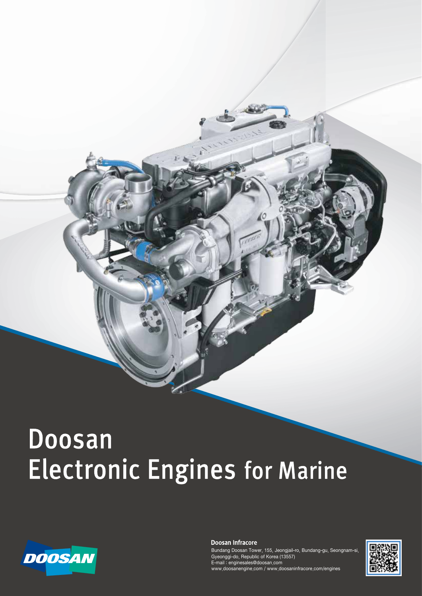# **Doosan Electronic Engines for Marine**



Doosan Infracore

Bundang Doosan Tower, 155, Jeongjail-ro, Bundang-gu, Seongnam-si, Gyeonggi-do, Republic of Korea (13557) E-mail : enginesales@doosan.com www.doosanengine.com / www.doosaninfracore.com/engines